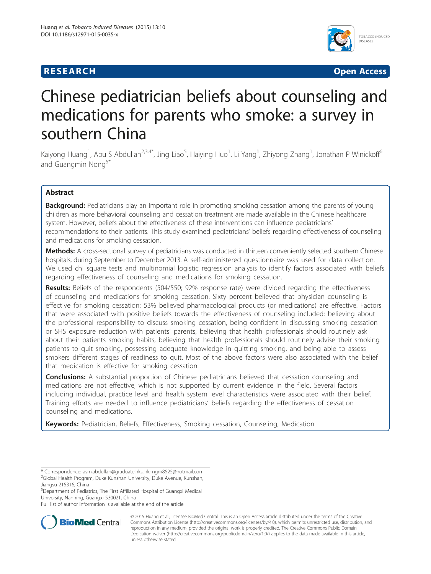## **RESEARCH RESEARCH** *CHECK CHECK CHECK CHECK CHECK CHECK CHECK CHECK CHECK CHECK CHECK CHECK CHECK CHECK CHECK CHECK CHECK CHECK CHECK CHECK CHECK CHECK CHECK CHECK CHECK CHECK CHECK CHECK CHECK CHECK CHECK CHECK CHECK*



# Chinese pediatrician beliefs about counseling and medications for parents who smoke: a survey in southern China

Kaiyong Huang<sup>1</sup>, Abu S Abdullah<sup>2,3,4\*</sup>, Jing Liao<sup>5</sup>, Haiying Huo<sup>1</sup>, Li Yang<sup>1</sup>, Zhiyong Zhang<sup>1</sup>, Jonathan P Winickoff<sup>6</sup> and Guangmin Nong<sup>5\*</sup>

## Abstract

Background: Pediatricians play an important role in promoting smoking cessation among the parents of young children as more behavioral counseling and cessation treatment are made available in the Chinese healthcare system. However, beliefs about the effectiveness of these interventions can influence pediatricians' recommendations to their patients. This study examined pediatricians' beliefs regarding effectiveness of counseling and medications for smoking cessation.

Methods: A cross-sectional survey of pediatricians was conducted in thirteen conveniently selected southern Chinese hospitals, during September to December 2013. A self-administered questionnaire was used for data collection. We used chi square tests and multinomial logistic regression analysis to identify factors associated with beliefs regarding effectiveness of counseling and medications for smoking cessation.

Results: Beliefs of the respondents (504/550; 92% response rate) were divided regarding the effectiveness of counseling and medications for smoking cessation. Sixty percent believed that physician counseling is effective for smoking cessation; 53% believed pharmacological products (or medications) are effective. Factors that were associated with positive beliefs towards the effectiveness of counseling included: believing about the professional responsibility to discuss smoking cessation, being confident in discussing smoking cessation or SHS exposure reduction with patients' parents, believing that health professionals should routinely ask about their patients smoking habits, believing that health professionals should routinely advise their smoking patients to quit smoking, possessing adequate knowledge in quitting smoking, and being able to assess smokers different stages of readiness to quit. Most of the above factors were also associated with the belief that medication is effective for smoking cessation.

**Conclusions:** A substantial proportion of Chinese pediatricians believed that cessation counseling and medications are not effective, which is not supported by current evidence in the field. Several factors including individual, practice level and health system level characteristics were associated with their belief. Training efforts are needed to influence pediatricians' beliefs regarding the effectiveness of cessation counseling and medications.

Keywords: Pediatrician, Beliefs, Effectiveness, Smoking cessation, Counseling, Medication

5 Department of Pediatrics, The First Affiliated Hospital of Guangxi Medical University, Nanning, Guangxi 530021, China

Full list of author information is available at the end of the article



© 2015 Huang et al.; licensee BioMed Central. This is an Open Access article distributed under the terms of the Creative Commons Attribution License [\(http://creativecommons.org/licenses/by/4.0\)](http://creativecommons.org/licenses/by/4.0), which permits unrestricted use, distribution, and reproduction in any medium, provided the original work is properly credited. The Creative Commons Public Domain Dedication waiver [\(http://creativecommons.org/publicdomain/zero/1.0/](http://creativecommons.org/publicdomain/zero/1.0/)) applies to the data made available in this article, unless otherwise stated.

<sup>\*</sup> Correspondence: [asm.abdullah@graduate.hku.hk;](mailto:asm.abdullah@graduate.hku.hk) [ngm8525@hotmail.com](mailto:ngm8525@hotmail.com) <sup>2</sup> <sup>2</sup>Global Health Program, Duke Kunshan University, Duke Avenue, Kunshan, Jiangsu 215316, China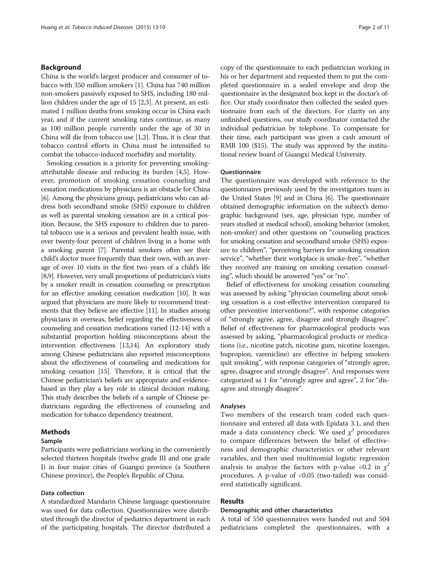#### Background

China is the world's largest producer and consumer of tobacco with 350 million smokers [[1\]](#page-10-0). China has 740 million non-smokers passively exposed to SHS, including 180 million children under the age of 15 [\[2,3](#page-10-0)]. At present, an estimated 1 million deaths from smoking occur in China each year, and if the current smoking rates continue, as many as 100 million people currently under the age of 30 in China will die from tobacco use [\[1,2](#page-10-0)]. Thus, it is clear that tobacco control efforts in China must be intensified to combat the tobacco-induced morbidity and mortality.

Smoking cessation is a priority for preventing smokingattributable disease and reducing its burden [[4](#page-10-0),[5](#page-10-0)]. However, promotion of smoking cessation counseling and cessation medications by physicians is an obstacle for China [[6](#page-10-0)]. Among the physicians group, pediatricians who can address both secondhand smoke (SHS) exposure to children as well as parental smoking cessation are in a critical position. Because, the SHS exposure to children due to parental tobacco use is a serious and prevalent health issue, with over twenty-four percent of children living in a home with a smoking parent [[7](#page-10-0)]. Parental smokers often see their child's doctor more frequently than their own, with an average of over 10 visits in the first two years of a child's life [[8,9](#page-10-0)]. However, very small proportions of pediatrician's visits by a smoker result in cessation counseling or prescription for an effective smoking cessation medication [[10](#page-10-0)]. It was argued that physicians are more likely to recommend treatments that they believe are effective [[11](#page-10-0)]. In studies among physicians in overseas, belief regarding the effectiveness of counseling and cessation medications varied [[12-14\]](#page-10-0) with a substantial proportion holding misconceptions about the intervention effectiveness [[13,14](#page-10-0)]. An exploratory study among Chinese pediatricians also reported misconceptions about the effectiveness of counseling and medications for smoking cessation [[15](#page-10-0)]. Therefore, it is critical that the Chinese pediatrician's beliefs are appropriate and evidencebased as they play a key role in clinical decision making. This study describes the beliefs of a sample of Chinese pediatricians regarding the effectiveness of counseling and medication for tobacco dependency treatment.

#### Methods

#### Sample

Participants were pediatricians working in the conveniently selected thirteen hospitals (twelve grade III and one grade I) in four major cities of Guangxi province (a Southern Chinese province), the People's Republic of China.

## Data collection

A standardized Mandarin Chinese language questionnaire was used for data collection. Questionnaires were distributed through the director of pediatrics department in each of the participating hospitals. The director distributed a

copy of the questionnaire to each pediatrician working in his or her department and requested them to put the completed questionnaire in a sealed envelope and drop the questionnaire in the designated box kept in the doctor's office. Our study coordinator then collected the sealed questionnaire from each of the directors. For clarity on any unfinished questions, our study coordinator contacted the individual pediatrician by telephone. To compensate for their time, each participant was given a cash amount of RMB 100 (\$15). The study was approved by the institutional review board of Guangxi Medical University.

#### Questionnaire

The questionnaire was developed with reference to the questionnaires previously used by the investigators team in the United States [\[9\]](#page-10-0) and in China [[6](#page-10-0)]. The questionnaire obtained demographic information on the subject's demographic background (sex, age, physician type, number of years studied at medical school), smoking behavior (smoker, non-smoker) and other questions on "counseling practices for smoking cessation and secondhand smoke (SHS) exposure to children", "perceiving barriers for smoking cessation service", "whether their workplace is smoke-free", "whether they received any training on smoking cessation counseling", which should be answered "yes" or "no".

Belief of effectiveness for smoking cessation counseling was assessed by asking "physician counseling about smoking cessation is a cost-effective intervention compared to other preventive interventions?", with response categories of "strongly agree, agree, disagree and strongly disagree". Belief of effectiveness for pharmacological products was assessed by asking, "pharmacological products or medications (i.e., nicotine patch, nicotine gum, nicotine lozenges, bupropion, varenicline) are effective in helping smokers quit smoking", with response categories of "strongly agree, agree, disagree and strongly disagree". And responses were categorized as 1 for "strongly agree and agree", 2 for "disagree and strongly disagree".

#### Analyses

Two members of the research team coded each questionnaire and entered all data with Epidata 3.1, and then made a data consistency check. We used  $\chi^2$  procedures to compare differences between the belief of effectiveness and demographic characteristics or other relevant variables, and then used multinomial logistic regression analysis to analyze the factors with p-value <0.2 in  $\chi^2$ procedures. A p-value of <0.05 (two-tailed) was considered statistically significant.

#### Results

#### Demographic and other characteristics

A total of 550 questionnaires were handed out and 504 pediatricians completed the questionnaires, with a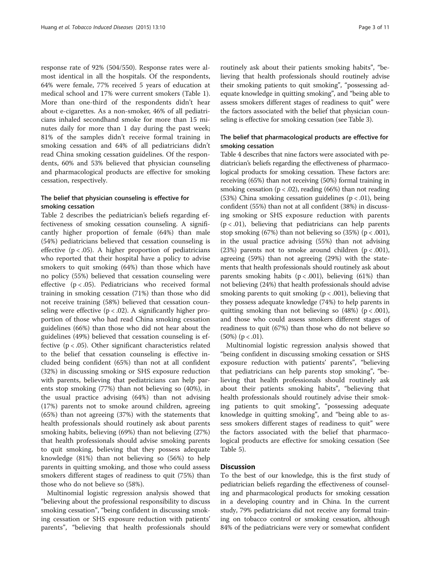response rate of 92% (504/550). Response rates were almost identical in all the hospitals. Of the respondents, 64% were female, 77% received 5 years of education at medical school and 17% were current smokers (Table [1](#page-3-0)). More than one-third of the respondents didn't hear about e-cigarettes. As a non-smoker, 46% of all pediatricians inhaled secondhand smoke for more than 15 minutes daily for more than 1 day during the past week; 81% of the samples didn't receive formal training in smoking cessation and 64% of all pediatricians didn't read China smoking cessation guidelines. Of the respondents, 60% and 53% believed that physician counseling and pharmacological products are effective for smoking cessation, respectively.

#### The belief that physician counseling is effective for smoking cessation

Table [2](#page-4-0) describes the pediatrician's beliefs regarding effectiveness of smoking cessation counseling. A significantly higher proportion of female (64%) than male (54%) pediatricians believed that cessation counseling is effective ( $p < .05$ ). A higher proportion of pediatricians who reported that their hospital have a policy to advise smokers to quit smoking (64%) than those which have no policy (55%) believed that cessation counseling were effective  $(p < .05)$ . Pediatricians who received formal training in smoking cessation (71%) than those who did not receive training (58%) believed that cessation counseling were effective  $(p < .02)$ . A significantly higher proportion of those who had read China smoking cessation guidelines (66%) than those who did not hear about the guidelines (49%) believed that cessation counseling is effective  $(p < .05)$ . Other significant characteristics related to the belief that cessation counseling is effective included being confident (65%) than not at all confident (32%) in discussing smoking or SHS exposure reduction with parents, believing that pediatricians can help parents stop smoking (77%) than not believing so (40%), in the usual practice advising (64%) than not advising (17%) parents not to smoke around children, agreeing (65%) than not agreeing (37%) with the statements that health professionals should routinely ask about parents smoking habits, believing (69%) than not believing (27%) that health professionals should advise smoking parents to quit smoking, believing that they possess adequate knowledge (81%) than not believing so (56%) to help parents in quitting smoking, and those who could assess smokers different stages of readiness to quit (75%) than those who do not believe so (58%).

Multinomial logistic regression analysis showed that "believing about the professional responsibility to discuss smoking cessation", "being confident in discussing smoking cessation or SHS exposure reduction with patients' parents", "believing that health professionals should

routinely ask about their patients smoking habits", "believing that health professionals should routinely advise their smoking patients to quit smoking", "possessing adequate knowledge in quitting smoking", and "being able to assess smokers different stages of readiness to quit" were the factors associated with the belief that physician counseling is effective for smoking cessation (see Table [3\)](#page-6-0).

#### The belief that pharmacological products are effective for smoking cessation

Table [4](#page-7-0) describes that nine factors were associated with pediatrician's beliefs regarding the effectiveness of pharmacological products for smoking cessation. These factors are: receiving (65%) than not receiving (50%) formal training in smoking cessation ( $p < .02$ ), reading (66%) than not reading (53%) China smoking cessation guidelines ( $p < .01$ ), being confident (55%) than not at all confident (38%) in discussing smoking or SHS exposure reduction with parents  $(p < .01)$ , believing that pediatricians can help parents stop smoking  $(67%)$  than not believing so  $(35%)$   $(p < .001)$ , in the usual practice advising (55%) than not advising (23%) parents not to smoke around children  $(p < .001)$ , agreeing (59%) than not agreeing (29%) with the statements that health professionals should routinely ask about parents smoking habits  $(p < .001)$ , believing  $(61%)$  than not believing (24%) that health professionals should advise smoking parents to quit smoking  $(p < .001)$ , believing that they possess adequate knowledge (74%) to help parents in quitting smoking than not believing so  $(48%)$  (p < .001), and those who could assess smokers different stages of readiness to quit (67%) than those who do not believe so  $(50\%)$  (p < .01).

Multinomial logistic regression analysis showed that "being confident in discussing smoking cessation or SHS exposure reduction with patients' parents", "believing that pediatricians can help parents stop smoking", "believing that health professionals should routinely ask about their patients smoking habits", "believing that health professionals should routinely advise their smoking patients to quit smoking", "possessing adequate knowledge in quitting smoking", and "being able to assess smokers different stages of readiness to quit" were the factors associated with the belief that pharmacological products are effective for smoking cessation (See Table [5\)](#page-9-0).

#### **Discussion**

To the best of our knowledge, this is the first study of pediatrician beliefs regarding the effectiveness of counseling and pharmacological products for smoking cessation in a developing country and in China. In the current study, 79% pediatricians did not receive any formal training on tobacco control or smoking cessation, although 84% of the pediatricians were very or somewhat confident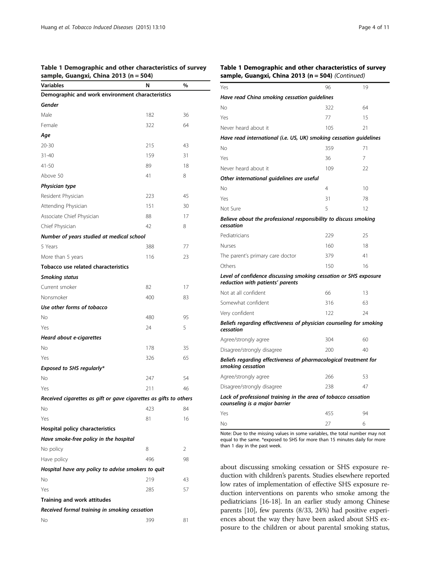<span id="page-3-0"></span>

| Table 1 Demographic and other characteristics of survey |  |  |  |
|---------------------------------------------------------|--|--|--|
| sample, Guangxi, China 2013 (n = 504)                   |  |  |  |

| <b>Variables</b>                                                  | Ν   | %  |
|-------------------------------------------------------------------|-----|----|
| Demographic and work environment characteristics                  |     |    |
| Gender                                                            |     |    |
| Male                                                              | 182 | 36 |
| Female                                                            | 322 | 64 |
| Age                                                               |     |    |
| $20 - 30$                                                         | 215 | 43 |
| $31 - 40$                                                         | 159 | 31 |
| 41-50                                                             | 89  | 18 |
| Above 50                                                          | 41  | 8  |
| Physician type                                                    |     |    |
| Resident Physician                                                | 223 | 45 |
| Attending Physician                                               | 151 | 30 |
| Associate Chief Physician                                         | 88  | 17 |
| Chief Physician                                                   | 42  | 8  |
| Number of years studied at medical school                         |     |    |
| 5 Years                                                           | 388 | 77 |
| More than 5 years                                                 | 116 | 23 |
| Tobacco use related characteristics                               |     |    |
| Smoking status                                                    |     |    |
| Current smoker                                                    | 82  | 17 |
| Nonsmoker                                                         | 400 | 83 |
| Use other forms of tobacco                                        |     |    |
| No                                                                | 480 | 95 |
| Yes                                                               | 24  | 5  |
| Heard about e-cigarettes                                          |     |    |
| No                                                                | 178 | 35 |
| Yes                                                               | 326 | 65 |
| Exposed to SHS regularly*                                         |     |    |
| No                                                                | 247 | 54 |
| Yes                                                               | 211 | 46 |
| Received cigarettes as gift or gave cigarettes as gifts to others |     |    |
| Νo                                                                | 423 | 84 |
| Yes                                                               | 81  | 16 |
| Hospital policy characteristics                                   |     |    |
| Have smoke-free policy in the hospital                            |     |    |
| No policy                                                         | 8   | 2  |
| Have policy                                                       | 496 | 98 |
| Hospital have any policy to advise smokers to quit                |     |    |
| No                                                                | 219 | 43 |
| Yes                                                               | 285 | 57 |
| Training and work attitudes                                       |     |    |
| Received formal training in smoking cessation                     |     |    |
| Νo                                                                | 399 | 81 |
|                                                                   |     |    |

| Yes                                                                                                  | 96             | 19 |
|------------------------------------------------------------------------------------------------------|----------------|----|
| Have read China smoking cessation quidelines                                                         |                |    |
| Νo                                                                                                   | 322            | 64 |
| Yes                                                                                                  | 77             | 15 |
| Never heard about it                                                                                 | 105            | 21 |
| Have read international (i.e. US, UK) smoking cessation guidelines                                   |                |    |
| Nο                                                                                                   | 359            | 71 |
| Yes                                                                                                  | 36             | 7  |
| Never heard about it                                                                                 | 109            | 22 |
| Other international quidelines are useful                                                            |                |    |
| No                                                                                                   | $\overline{4}$ | 10 |
| Yes                                                                                                  | 31             | 78 |
| Not Sure                                                                                             | 5              | 12 |
| Believe about the professional responsibility to discuss smoking<br>cessation                        |                |    |
| Pediatricians                                                                                        | 229            | 25 |
| <b>Nurses</b>                                                                                        | 160            | 18 |
| The parent's primary care doctor                                                                     | 379            | 41 |
| Others                                                                                               | 150            | 16 |
| Level of confidence discussing smoking cessation or SHS exposure<br>reduction with patients' parents |                |    |
| Not at all confident                                                                                 | 66             | 13 |
| Somewhat confident                                                                                   | 316            | 63 |
| Very confident                                                                                       | 122            | 24 |
| Beliefs regarding effectiveness of physician counseling for smoking<br>cessation                     |                |    |
| Agree/strongly agree                                                                                 | 304            | 60 |
| Disagree/strongly disagree                                                                           | 200            | 40 |
| Beliefs regarding effectiveness of pharmacological treatment for<br>smoking cessation                |                |    |
| Agree/strongly agree                                                                                 | 266            | 53 |
| Disagree/strongly disagree                                                                           | 238            | 47 |
| Lack of professional training in the area of tobacco cessation<br>counseling is a major barrier      |                |    |
| Yes                                                                                                  | 455            | 94 |
| No                                                                                                   | 27             | 6  |
|                                                                                                      |                |    |

Note: Due to the missing values in some variables, the total number may not equal to the same. \*exposed to SHS for more than 15 minutes daily for more than 1 day in the past week.

about discussing smoking cessation or SHS exposure reduction with children's parents. Studies elsewhere reported low rates of implementation of effective SHS exposure reduction interventions on parents who smoke among the pediatricians [\[16-18\]](#page-10-0). In an earlier study among Chinese parents [[10](#page-10-0)], few parents (8/33, 24%) had positive experiences about the way they have been asked about SHS exposure to the children or about parental smoking status,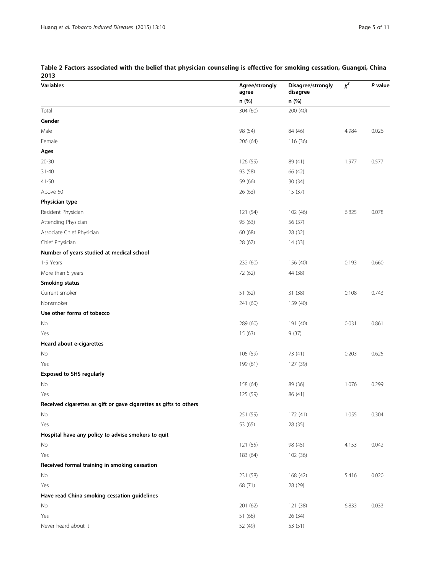| <b>Variables</b>                                                  | Agree/strongly<br>agree | Disagree/strongly<br>disagree | $x^2$ | P value |
|-------------------------------------------------------------------|-------------------------|-------------------------------|-------|---------|
|                                                                   | n (%)                   |                               |       |         |
| Total                                                             | 304 (60)                | 200 (40)                      |       |         |
| Gender                                                            |                         |                               |       |         |
| Male                                                              | 98 (54)                 | 84 (46)                       | 4.984 | 0.026   |
| Female                                                            | 206 (64)                | 116 (36)                      |       |         |
| Ages                                                              |                         |                               |       |         |
| $20 - 30$                                                         | 126 (59)                | 89 (41)                       | 1.977 | 0.577   |
| $31 - 40$                                                         | 93 (58)                 | 66 (42)                       |       |         |
| 41-50                                                             | 59 (66)                 | 30(34)                        |       |         |
| Above 50                                                          | 26 (63)                 | 15(37)                        |       |         |
| Physician type                                                    |                         |                               |       |         |
| Resident Physician                                                | 121 (54)                | 102 (46)                      | 6.825 | 0.078   |
| Attending Physician                                               | 95 (63)                 | 56 (37)                       |       |         |
| Associate Chief Physician                                         | 60 (68)                 | 28 (32)                       |       |         |
| Chief Physician                                                   | 28 (67)                 | 14(33)                        |       |         |
| Number of years studied at medical school                         |                         |                               |       |         |
| 1-5 Years                                                         | 232 (60)                | 156 (40)                      | 0.193 | 0.660   |
| More than 5 years                                                 | 72 (62)                 | 44 (38)                       |       |         |
| <b>Smoking status</b>                                             |                         |                               |       |         |
| Current smoker                                                    | 51 (62)                 | 31 (38)                       | 0.108 | 0.743   |
| Nonsmoker                                                         | 241 (60)                | 159 (40)                      |       |         |
| Use other forms of tobacco                                        |                         |                               |       |         |
| No                                                                | 289 (60)                | 191 (40)                      | 0.031 | 0.861   |
| Yes                                                               | 15 (63)                 | 9(37)                         |       |         |
| Heard about e-cigarettes                                          |                         |                               |       |         |
| No                                                                | 105 (59)                | 73 (41)                       | 0.203 | 0.625   |
| Yes                                                               | 199 (61)                | 127 (39)                      |       |         |
| <b>Exposed to SHS regularly</b>                                   |                         |                               |       |         |
| No                                                                | 158 (64)                | 89 (36)                       | 1.076 | 0.299   |
| Yes                                                               | 125 (59)                | 86 (41)                       |       |         |
| Received cigarettes as gift or gave cigarettes as gifts to others |                         |                               |       |         |
| No                                                                | 251 (59)                | 172 (41)                      | 1.055 | 0.304   |
| Yes                                                               | 53 (65)                 | 28 (35)                       |       |         |
| Hospital have any policy to advise smokers to quit                |                         |                               |       |         |
| No                                                                | 121 (55)                | 98 (45)                       | 4.153 | 0.042   |
| Yes                                                               | 183 (64)                | 102 (36)                      |       |         |
| Received formal training in smoking cessation                     |                         |                               |       |         |
| No                                                                | 231 (58)                | 168 (42)                      | 5.416 | 0.020   |
| Yes                                                               | 68 (71)                 | 28 (29)                       |       |         |
| Have read China smoking cessation guidelines                      |                         |                               |       |         |
| No                                                                | 201 (62)                | 121 (38)                      | 6.833 | 0.033   |
| Yes                                                               | 51 (66)                 | 26 (34)                       |       |         |
| Never heard about it                                              | 52 (49)                 | 53 (51)                       |       |         |

#### <span id="page-4-0"></span>Table 2 Factors associated with the belief that physician counseling is effective for smoking cessation, Guangxi, China 2013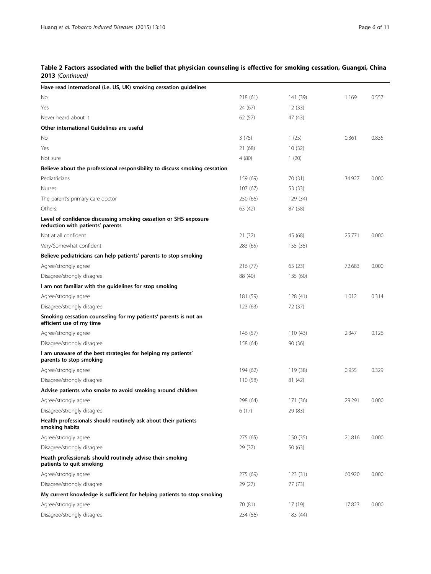## Table 2 Factors associated with the belief that physician counseling is effective for smoking cessation, Guangxi, China 2013 (Continued)

| Have read international (i.e. US, UK) smoking cessation guidelines                                   |          |          |        |       |
|------------------------------------------------------------------------------------------------------|----------|----------|--------|-------|
| No                                                                                                   | 218 (61) | 141 (39) | 1.169  | 0.557 |
| Yes                                                                                                  | 24 (67)  | 12(33)   |        |       |
| Never heard about it                                                                                 | 62 (57)  | 47 (43)  |        |       |
| Other international Guidelines are useful                                                            |          |          |        |       |
| No                                                                                                   | 3(75)    | 1(25)    | 0.361  | 0.835 |
| Yes                                                                                                  | 21 (68)  | 10(32)   |        |       |
| Not sure                                                                                             | 4(80)    | 1(20)    |        |       |
| Believe about the professional responsibility to discuss smoking cessation                           |          |          |        |       |
| Pediatricians                                                                                        | 159 (69) | 70 (31)  | 34.927 | 0.000 |
| <b>Nurses</b>                                                                                        | 107(67)  | 53 (33)  |        |       |
| The parent's primary care doctor                                                                     | 250 (66) | 129 (34) |        |       |
| Others:                                                                                              | 63 (42)  | 87 (58)  |        |       |
| Level of confidence discussing smoking cessation or SHS exposure<br>reduction with patients' parents |          |          |        |       |
| Not at all confident                                                                                 | 21 (32)  | 45 (68)  | 25.771 | 0.000 |
| Very/Somewhat confident                                                                              | 283 (65) | 155 (35) |        |       |
| Believe pediatricians can help patients' parents to stop smoking                                     |          |          |        |       |
| Agree/strongly agree                                                                                 | 216 (77) | 65 (23)  | 72.683 | 0.000 |
| Disagree/strongly disagree                                                                           | 88 (40)  | 135 (60) |        |       |
| I am not familiar with the guidelines for stop smoking                                               |          |          |        |       |
| Agree/strongly agree                                                                                 | 181 (59) | 128(41)  | 1.012  | 0.314 |
| Disagree/strongly disagree                                                                           | 123(63)  | 72 (37)  |        |       |
| Smoking cessation counseling for my patients' parents is not an<br>efficient use of my time          |          |          |        |       |
| Agree/strongly agree                                                                                 | 146 (57) | 110(43)  | 2.347  | 0.126 |
| Disagree/strongly disagree                                                                           | 158 (64) | 90(36)   |        |       |
| I am unaware of the best strategies for helping my patients'<br>parents to stop smoking              |          |          |        |       |
| Agree/strongly agree                                                                                 | 194 (62) | 119 (38) | 0.955  | 0.329 |
| Disagree/strongly disagree                                                                           | 110(58)  | 81 (42)  |        |       |
| Advise patients who smoke to avoid smoking around children                                           |          |          |        |       |
| Agree/strongly agree                                                                                 | 298 (64) | 171 (36) | 29.291 | 0.000 |
| Disagree/strongly disagree                                                                           | 6(17)    | 29 (83)  |        |       |
| Health professionals should routinely ask about their patients<br>smoking habits                     |          |          |        |       |
| Agree/strongly agree                                                                                 | 275 (65) | 150 (35) | 21.816 | 0.000 |
| Disagree/strongly disagree                                                                           | 29 (37)  | 50 (63)  |        |       |
| Heath professionals should routinely advise their smoking<br>patients to quit smoking                |          |          |        |       |
| Agree/strongly agree                                                                                 | 275 (69) | 123(31)  | 60.920 | 0.000 |
| Disagree/strongly disagree                                                                           | 29 (27)  | 77 (73)  |        |       |
| My current knowledge is sufficient for helping patients to stop smoking                              |          |          |        |       |
| Agree/strongly agree                                                                                 | 70 (81)  | 17 (19)  | 17.823 | 0.000 |
| Disagree/strongly disagree                                                                           | 234 (56) | 183 (44) |        |       |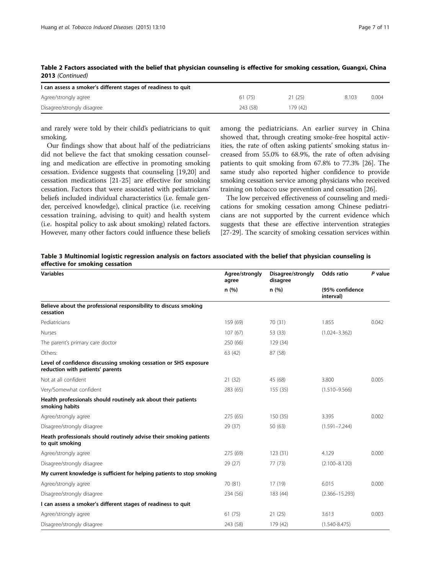| I can assess a smoker's different stages of readiness to quit |          |          |       |       |
|---------------------------------------------------------------|----------|----------|-------|-------|
| Agree/strongly agree                                          | 61(75)   | 21(25)   | 8.103 | 0.004 |
| Disagree/strongly disagree                                    | 243 (58) | 179 (42) |       |       |

<span id="page-6-0"></span>Table 2 Factors associated with the belief that physician counseling is effective for smoking cessation, Guangxi, China 2013 (Continued)

and rarely were told by their child's pediatricians to quit smoking.

Our findings show that about half of the pediatricians did not believe the fact that smoking cessation counseling and medication are effective in promoting smoking cessation. Evidence suggests that counseling [[19,20\]](#page-10-0) and cessation medications [[21](#page-10-0)-[25\]](#page-10-0) are effective for smoking cessation. Factors that were associated with pediatricians' beliefs included individual characteristics (i.e. female gender, perceived knowledge), clinical practice (i.e. receiving cessation training, advising to quit) and health system (i.e. hospital policy to ask about smoking) related factors. However, many other factors could influence these beliefs among the pediatricians. An earlier survey in China showed that, through creating smoke-free hospital activities, the rate of often asking patients' smoking status increased from 55.0% to 68.9%, the rate of often advising patients to quit smoking from 67.8% to 77.3% [[26](#page-10-0)]. The same study also reported higher confidence to provide smoking cessation service among physicians who received training on tobacco use prevention and cessation [\[26\]](#page-10-0).

The low perceived effectiveness of counseling and medications for smoking cessation among Chinese pediatricians are not supported by the current evidence which suggests that these are effective intervention strategies [[27](#page-10-0)-[29\]](#page-10-0). The scarcity of smoking cessation services within

| Table 3 Multinomial logistic regression analysis on factors associated with the belief that physician counseling is |  |
|---------------------------------------------------------------------------------------------------------------------|--|
| effective for smoking cessation                                                                                     |  |

| <b>Variables</b>                                                                                     | Agree/strongly<br>agree | Disagree/strongly<br>disagree | <b>Odds ratio</b>            | P value |
|------------------------------------------------------------------------------------------------------|-------------------------|-------------------------------|------------------------------|---------|
|                                                                                                      | n(%)                    | n(%)                          | (95% confidence<br>interval) |         |
| Believe about the professional responsibility to discuss smoking<br>cessation                        |                         |                               |                              |         |
| Pediatricians                                                                                        | 159 (69)                | 70 (31)                       | 1.855                        | 0.042   |
| Nurses                                                                                               | 107(67)                 | 53 (33)                       | $(1.024 - 3.362)$            |         |
| The parent's primary care doctor                                                                     | 250 (66)                | 129 (34)                      |                              |         |
| Others:                                                                                              | 63 (42)                 | 87 (58)                       |                              |         |
| Level of confidence discussing smoking cessation or SHS exposure<br>reduction with patients' parents |                         |                               |                              |         |
| Not at all confident                                                                                 | 21(32)                  | 45 (68)                       | 3.800                        | 0.005   |
| Very/Somewhat confident                                                                              | 283 (65)                | 155 (35)                      | $(1.510 - 9.566)$            |         |
| Health professionals should routinely ask about their patients<br>smoking habits                     |                         |                               |                              |         |
| Agree/strongly agree                                                                                 | 275 (65)                | 150 (35)                      | 3.395                        | 0.002   |
| Disagree/strongly disagree                                                                           | 29 (37)                 | 50(63)                        | $(1.591 - 7.244)$            |         |
| Heath professionals should routinely advise their smoking patients<br>to quit smoking                |                         |                               |                              |         |
| Agree/strongly agree                                                                                 | 275 (69)                | 123(31)                       | 4.129                        | 0.000   |
| Disagree/strongly disagree                                                                           | 29 (27)                 | 77(73)                        | $(2.100 - 8.120)$            |         |
| My current knowledge is sufficient for helping patients to stop smoking                              |                         |                               |                              |         |
| Agree/strongly agree                                                                                 | 70 (81)                 | 17 (19)                       | 6.015                        | 0.000   |
| Disagree/strongly disagree                                                                           | 234 (56)                | 183 (44)                      | $(2.366 - 15.293)$           |         |
| I can assess a smoker's different stages of readiness to quit                                        |                         |                               |                              |         |
| Agree/strongly agree                                                                                 | 61(75)                  | 21(25)                        | 3.613                        | 0.003   |
| Disagree/strongly disagree                                                                           | 243 (58)                | 179 (42)                      | $(1.540 - 8.475)$            |         |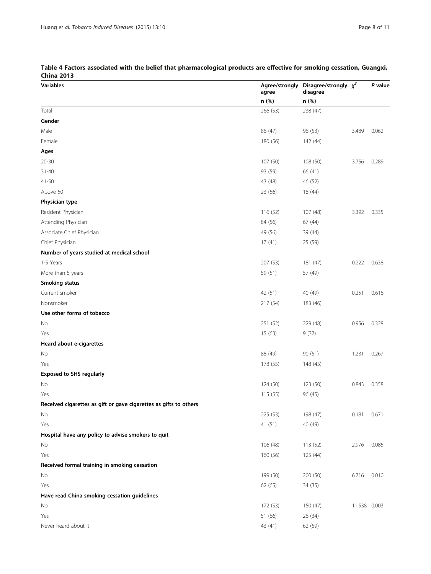| <b>Variables</b>                                                  | agree    | Agree/strongly Disagree/strongly $\chi^2$<br>disagree |              | P value |
|-------------------------------------------------------------------|----------|-------------------------------------------------------|--------------|---------|
|                                                                   | n (%)    | n (%)                                                 |              |         |
| Total                                                             | 266 (53) | 238 (47)                                              |              |         |
| Gender                                                            |          |                                                       |              |         |
| Male                                                              | 86 (47)  | 96 (53)                                               | 3.489        | 0.062   |
| Female                                                            | 180 (56) | 142 (44)                                              |              |         |
| Ages                                                              |          |                                                       |              |         |
| $20 - 30$                                                         | 107 (50) | 108 (50)                                              | 3.756        | 0.289   |
| $31 - 40$                                                         | 93 (59)  | 66 (41)                                               |              |         |
| 41-50                                                             | 43 (48)  | 46 (52)                                               |              |         |
| Above 50                                                          | 23 (56)  | 18 (44)                                               |              |         |
| Physician type                                                    |          |                                                       |              |         |
| Resident Physician                                                | 116 (52) | 107 (48)                                              | 3.392        | 0.335   |
| Attending Physician                                               | 84 (56)  | 67 (44)                                               |              |         |
| Associate Chief Physician                                         | 49 (56)  | 39 (44)                                               |              |         |
| Chief Physician                                                   | 17(41)   | 25 (59)                                               |              |         |
| Number of years studied at medical school                         |          |                                                       |              |         |
| 1-5 Years                                                         | 207 (53) | 181 (47)                                              | 0.222        | 0.638   |
| More than 5 years                                                 | 59 (51)  | 57 (49)                                               |              |         |
| <b>Smoking status</b>                                             |          |                                                       |              |         |
| Current smoker                                                    | 42 (51)  | 40 (49)                                               | 0.251        | 0.616   |
| Nonsmoker                                                         | 217 (54) | 183 (46)                                              |              |         |
| Use other forms of tobacco                                        |          |                                                       |              |         |
| No                                                                | 251 (52) | 229 (48)                                              | 0.956        | 0.328   |
| Yes                                                               | 15(63)   | 9(37)                                                 |              |         |
| Heard about e-cigarettes                                          |          |                                                       |              |         |
| No                                                                | 88 (49)  | 90(51)                                                | 1.231        | 0.267   |
| Yes                                                               | 178 (55) | 148 (45)                                              |              |         |
| <b>Exposed to SHS regularly</b>                                   |          |                                                       |              |         |
| No                                                                | 124 (50) | 123 (50)                                              | 0.843        | 0.358   |
| Yes                                                               | 115 (55) | 96 (45)                                               |              |         |
| Received cigarettes as gift or gave cigarettes as gifts to others |          |                                                       |              |         |
| No.                                                               | 225 (53) | 198 (47)                                              | 0.181        | 0.671   |
| Yes                                                               | 41 (51)  | 40 (49)                                               |              |         |
| Hospital have any policy to advise smokers to quit                |          |                                                       |              |         |
| No                                                                | 106 (48) | 113 (52)                                              | 2.976        | 0.085   |
| Yes                                                               | 160 (56) | 125 (44)                                              |              |         |
| Received formal training in smoking cessation                     |          |                                                       |              |         |
| No.                                                               | 199 (50) | 200 (50)                                              | 6.716        | 0.010   |
| Yes                                                               | 62 (65)  | 34 (35)                                               |              |         |
| Have read China smoking cessation guidelines                      |          |                                                       |              |         |
| No                                                                | 172 (53) | 150 (47)                                              | 11.538 0.003 |         |
| Yes                                                               | 51 (66)  | 26 (34)                                               |              |         |
| Never heard about it                                              | 43 (41)  | 62 (59)                                               |              |         |
|                                                                   |          |                                                       |              |         |

## <span id="page-7-0"></span>Table 4 Factors associated with the belief that pharmacological products are effective for smoking cessation, Guangxi, China 2013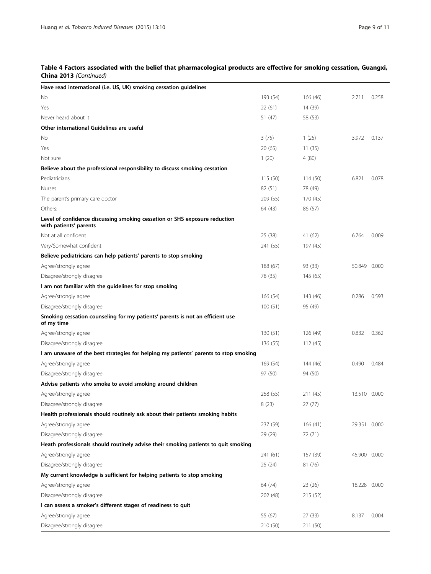## Table 4 Factors associated with the belief that pharmacological products are effective for smoking cessation, Guangxi, China 2013 (Continued)

| Have read international (i.e. US, UK) smoking cessation guidelines                                   |          |          |              |       |
|------------------------------------------------------------------------------------------------------|----------|----------|--------------|-------|
| Νo                                                                                                   | 193 (54) | 166 (46) | 2.711        | 0.258 |
| Yes                                                                                                  | 22(61)   | 14 (39)  |              |       |
| Never heard about it                                                                                 | 51 (47)  | 58 (53)  |              |       |
| Other international Guidelines are useful                                                            |          |          |              |       |
| Νo                                                                                                   | 3(75)    | 1(25)    | 3.972        | 0.137 |
| Yes                                                                                                  | 20(65)   | 11(35)   |              |       |
| Not sure                                                                                             | 1(20)    | 4(80)    |              |       |
| Believe about the professional responsibility to discuss smoking cessation                           |          |          |              |       |
| Pediatricians                                                                                        | 115(50)  | 114(50)  | 6.821        | 0.078 |
| Nurses                                                                                               | 82 (51)  | 78 (49)  |              |       |
| The parent's primary care doctor                                                                     | 209 (55) | 170 (45) |              |       |
| Others:                                                                                              | 64 (43)  | 86 (57)  |              |       |
| Level of confidence discussing smoking cessation or SHS exposure reduction<br>with patients' parents |          |          |              |       |
| Not at all confident                                                                                 | 25 (38)  | 41 (62)  | 6.764        | 0.009 |
| Very/Somewhat confident                                                                              | 241 (55) | 197 (45) |              |       |
| Believe pediatricians can help patients' parents to stop smoking                                     |          |          |              |       |
| Agree/strongly agree                                                                                 | 188 (67) | 93 (33)  | 50.849 0.000 |       |
| Disagree/strongly disagree                                                                           | 78 (35)  | 145 (65) |              |       |
| I am not familiar with the guidelines for stop smoking                                               |          |          |              |       |
| Agree/strongly agree                                                                                 | 166 (54) | 143 (46) | 0.286        | 0.593 |
| Disagree/strongly disagree                                                                           | 100(51)  | 95 (49)  |              |       |
| Smoking cessation counseling for my patients' parents is not an efficient use<br>of my time          |          |          |              |       |
| Agree/strongly agree                                                                                 | 130 (51) | 126 (49) | 0.832        | 0.362 |
| Disagree/strongly disagree                                                                           | 136 (55) | 112 (45) |              |       |
| I am unaware of the best strategies for helping my patients' parents to stop smoking                 |          |          |              |       |
| Agree/strongly agree                                                                                 | 169 (54) | 144 (46) | 0.490        | 0.484 |
| Disagree/strongly disagree                                                                           | 97 (50)  | 94 (50)  |              |       |
| Advise patients who smoke to avoid smoking around children                                           |          |          |              |       |
| Agree/strongly agree                                                                                 | 258 (55) | 211 (45) | 13.510 0.000 |       |
| Disagree/strongly disagree                                                                           | 8(23)    | 27 (77)  |              |       |
| Health professionals should routinely ask about their patients smoking habits                        |          |          |              |       |
| Agree/strongly agree                                                                                 | 237 (59) | 166 (41) | 29.351 0.000 |       |
| Disagree/strongly disagree                                                                           | 29 (29)  | 72 (71)  |              |       |
| Heath professionals should routinely advise their smoking patients to quit smoking                   |          |          |              |       |
| Agree/strongly agree                                                                                 | 241 (61) | 157 (39) | 45.900 0.000 |       |
| Disagree/strongly disagree                                                                           | 25(24)   | 81 (76)  |              |       |
| My current knowledge is sufficient for helping patients to stop smoking                              |          |          |              |       |
| Agree/strongly agree                                                                                 | 64 (74)  | 23(26)   | 18.228 0.000 |       |
| Disagree/strongly disagree                                                                           | 202 (48) | 215 (52) |              |       |
| I can assess a smoker's different stages of readiness to quit                                        |          |          |              |       |
| Agree/strongly agree                                                                                 | 55 (67)  | 27(33)   | 8.137        | 0.004 |
| Disagree/strongly disagree                                                                           | 210 (50) | 211 (50) |              |       |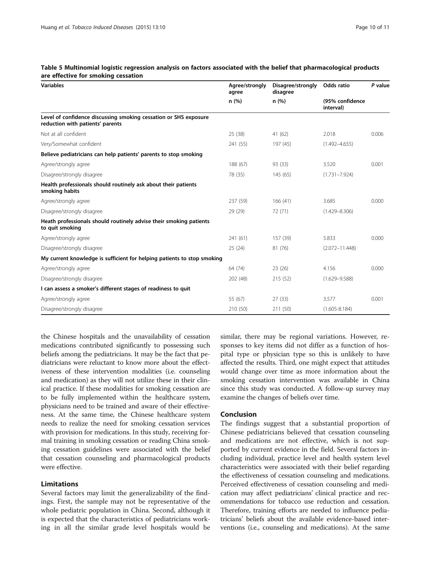| <b>Variables</b>                                                                                     | Agree/strongly<br>agree | Disagree/strongly<br>disagree | Odds ratio                   | P value |
|------------------------------------------------------------------------------------------------------|-------------------------|-------------------------------|------------------------------|---------|
|                                                                                                      | n(%)                    | n(%)                          | (95% confidence<br>interval) |         |
| Level of confidence discussing smoking cessation or SHS exposure<br>reduction with patients' parents |                         |                               |                              |         |
| Not at all confident                                                                                 | 25 (38)                 | 41 (62)                       | 2.018                        | 0.006   |
| Very/Somewhat confident                                                                              | 241 (55)                | 197 (45)                      | $(1.492 - 4.655)$            |         |
| Believe pediatricians can help patients' parents to stop smoking                                     |                         |                               |                              |         |
| Agree/strongly agree                                                                                 | 188 (67)                | 93 (33)                       | 3.520                        | 0.001   |
| Disagree/strongly disagree                                                                           | 78 (35)                 | 145 (65)                      | $(1.731 - 7.924)$            |         |
| Health professionals should routinely ask about their patients<br>smoking habits                     |                         |                               |                              |         |
| Agree/strongly agree                                                                                 | 237 (59)                | 166(41)                       | 3.685                        | 0.000   |
| Disagree/strongly disagree                                                                           | 29 (29)                 | 72 (71)                       | $(1.429 - 8.306)$            |         |
| Heath professionals should routinely advise their smoking patients<br>to quit smoking                |                         |                               |                              |         |
| Agree/strongly agree                                                                                 | 241 (61)                | 157 (39)                      | 5.833                        | 0.000   |
| Disagree/strongly disagree                                                                           | 25(24)                  | 81 (76)                       | $(2.072 - 11.448)$           |         |
| My current knowledge is sufficient for helping patients to stop smoking                              |                         |                               |                              |         |
| Agree/strongly agree                                                                                 | 64 (74)                 | 23(26)                        | 4.156                        | 0.000   |
| Disagree/strongly disagree                                                                           | 202 (48)                | 215 (52)                      | $(1.629 - 9.588)$            |         |
| I can assess a smoker's different stages of readiness to quit                                        |                         |                               |                              |         |
| Agree/strongly agree                                                                                 | 55 (67)                 | 27(33)                        | 3.577                        | 0.001   |
| Disagree/strongly disagree                                                                           | 210 (50)                | 211 (50)                      | $(1.605 - 8.184)$            |         |

<span id="page-9-0"></span>

| Table 5 Multinomial logistic regression analysis on factors associated with the belief that pharmacological products |  |  |  |
|----------------------------------------------------------------------------------------------------------------------|--|--|--|
| are effective for smoking cessation                                                                                  |  |  |  |

the Chinese hospitals and the unavailability of cessation medications contributed significantly to possessing such beliefs among the pediatricians. It may be the fact that pediatricians were reluctant to know more about the effectiveness of these intervention modalities (i.e. counseling and medication) as they will not utilize these in their clinical practice. If these modalities for smoking cessation are to be fully implemented within the healthcare system, physicians need to be trained and aware of their effectiveness. At the same time, the Chinese healthcare system needs to realize the need for smoking cessation services with provision for medications. In this study, receiving formal training in smoking cessation or reading China smoking cessation guidelines were associated with the belief that cessation counseling and pharmacological products were effective.

## Limitations

Several factors may limit the generalizability of the findings. First, the sample may not be representative of the whole pediatric population in China. Second, although it is expected that the characteristics of pediatricians working in all the similar grade level hospitals would be similar, there may be regional variations. However, responses to key items did not differ as a function of hospital type or physician type so this is unlikely to have affected the results. Third, one might expect that attitudes would change over time as more information about the smoking cessation intervention was available in China since this study was conducted. A follow-up survey may examine the changes of beliefs over time.

#### Conclusion

The findings suggest that a substantial proportion of Chinese pediatricians believed that cessation counseling and medications are not effective, which is not supported by current evidence in the field. Several factors including individual, practice level and health system level characteristics were associated with their belief regarding the effectiveness of cessation counseling and medications. Perceived effectiveness of cessation counseling and medication may affect pediatricians' clinical practice and recommendations for tobacco use reduction and cessation. Therefore, training efforts are needed to influence pediatricians' beliefs about the available evidence-based interventions (i.e., counseling and medications). At the same